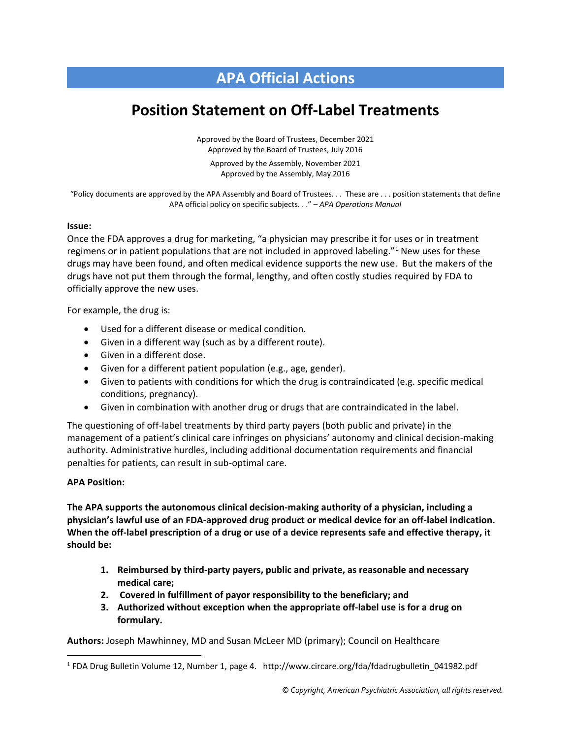## **APA Official Actions**

## **Position Statement on Off-Label Treatments**

Approved by the Board of Trustees, December 2021 Approved by the Board of Trustees, July 2016

Approved by the Assembly, November 2021 Approved by the Assembly, May 2016

"Policy documents are approved by the APA Assembly and Board of Trustees. . . These are . . . position statements that define APA official policy on specific subjects. . ." – *APA Operations Manual*

## **Issue:**

Once the FDA approves a drug for marketing, "a physician may prescribe it for uses or in treatment regimens or in patient populations that are not included in approved labeling."<sup>1</sup> New uses for these drugs may have been found, and often medical evidence supports the new use. But the makers of the drugs have not put them through the formal, lengthy, and often costly studies required by FDA to officially approve the new uses.

For example, the drug is:

- Used for a different disease or medical condition.
- Given in a different way (such as by a different route).
- Given in a different dose.
- Given for a different patient population (e.g., age, gender).
- Given to patients with conditions for which the drug is contraindicated (e.g. specific medical conditions, pregnancy).
- Given in combination with another drug or drugs that are contraindicated in the label.

The questioning of off-label treatments by third party payers (both public and private) in the management of a patient's clinical care infringes on physicians' autonomy and clinical decision-making authority. Administrative hurdles, including additional documentation requirements and financial penalties for patients, can result in sub-optimal care.

## **APA Position:**

**The APA supports the autonomous clinical decision-making authority of a physician, including a physician's lawful use of an FDA-approved drug product or medical device for an off-label indication. When the off-label prescription of a drug or use of a device represents safe and effective therapy, it should be:**

- **1. Reimbursed by third-party payers, public and private, as reasonable and necessary medical care;**
- **2. Covered in fulfillment of payor responsibility to the beneficiary; and**
- **3. Authorized without exception when the appropriate off-label use is for a drug on formulary.**

**Authors:** Joseph Mawhinney, MD and Susan McLeer MD (primary); Council on Healthcare

<sup>&</sup>lt;sup>1</sup> FDA Drug Bulletin Volume 12, Number 1, page 4. http://www.circare.org/fda/fdadrugbulletin\_041982.pdf